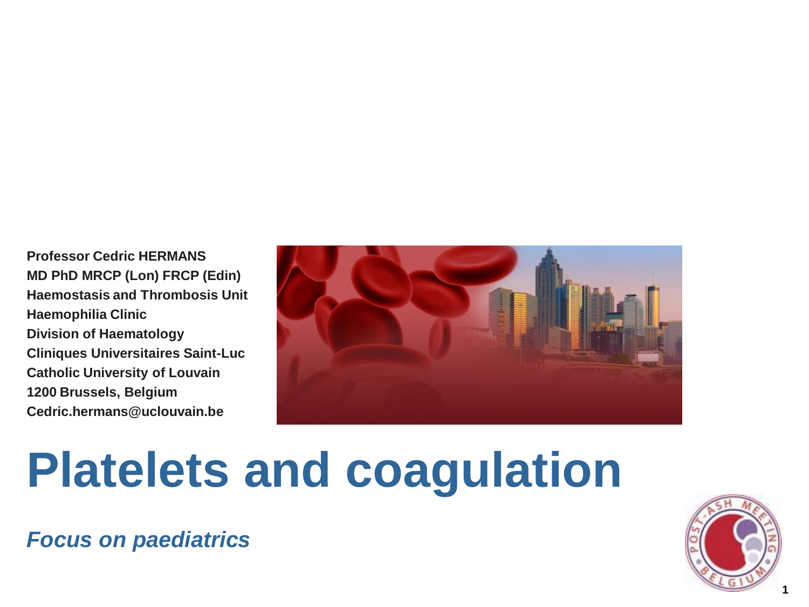**Professor Cedric HERMANS MD PhD MRCP (Lon) FRCP (Edin) Haemostasis and Thrombosis Unit Haemophilia Clinic Division of Haematology Cliniques Universitaires Saint-Luc Catholic University of Louvain 1200 Brussels, Belgium Cedric.hermans@uclouvain.be**



# **Platelets and coagulation**

*Focus on paediatrics*

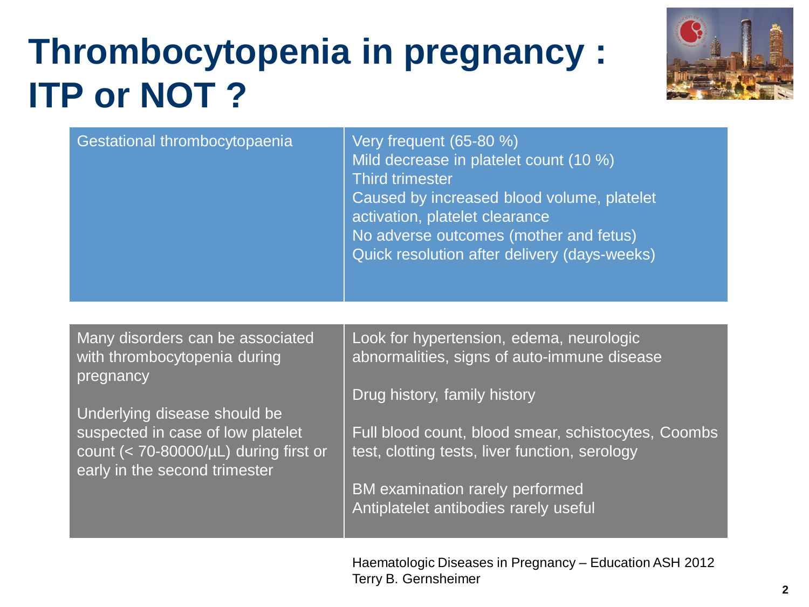## **Thrombocytopenia in pregnancy : ITP or NOT ?**



| Gestational thrombocytopaenia<br><b>Third trimester</b> | Very frequent (65-80 %)<br>Mild decrease in platelet count (10 %)<br>Caused by increased blood volume, platelet<br>activation, platelet clearance<br>No adverse outcomes (mother and fetus)<br>Quick resolution after delivery (days-weeks) |
|---------------------------------------------------------|---------------------------------------------------------------------------------------------------------------------------------------------------------------------------------------------------------------------------------------------|
|---------------------------------------------------------|---------------------------------------------------------------------------------------------------------------------------------------------------------------------------------------------------------------------------------------------|

Many disorders can be associated with thrombocytopenia during pregnancy

Underlying disease should be suspected in case of low platelet count  $(< 70-80000/\mu L)$  during first or early in the second trimester

Look for hypertension, edema, neurologic abnormalities, signs of auto-immune disease

Drug history, family history

Full blood count, blood smear, schistocytes, Coombs test, clotting tests, liver function, serology

BM examination rarely performed Antiplatelet antibodies rarely useful

Haematologic Diseases in Pregnancy – Education ASH 2012 Terry B. Gernsheimer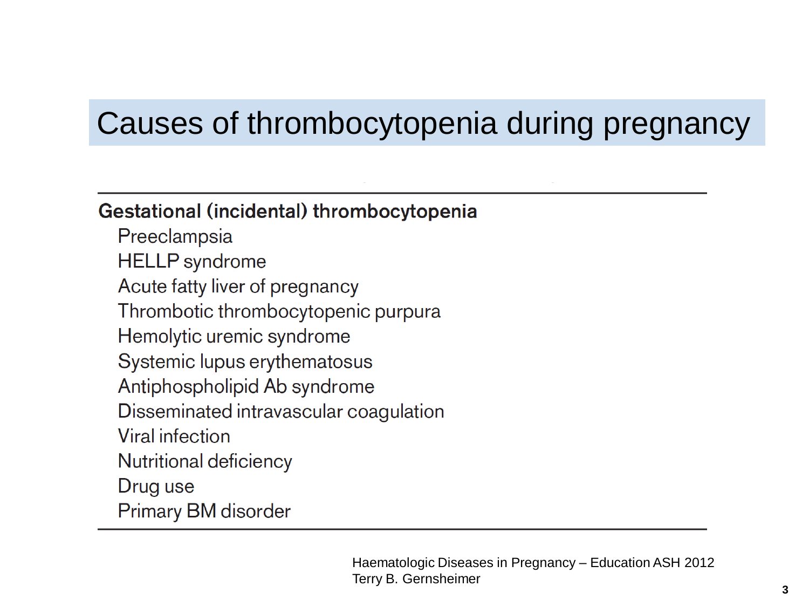#### Causes of thrombocytopenia during pregnancy

#### Gestational (incidental) thrombocytopenia

Preeclampsia **HELLP** syndrome Acute fatty liver of pregnancy Thrombotic thrombocytopenic purpura Hemolytic uremic syndrome Systemic lupus erythematosus Antiphospholipid Ab syndrome Disseminated intravascular coagulation Viral infection Nutritional deficiency Drug use **Primary BM disorder**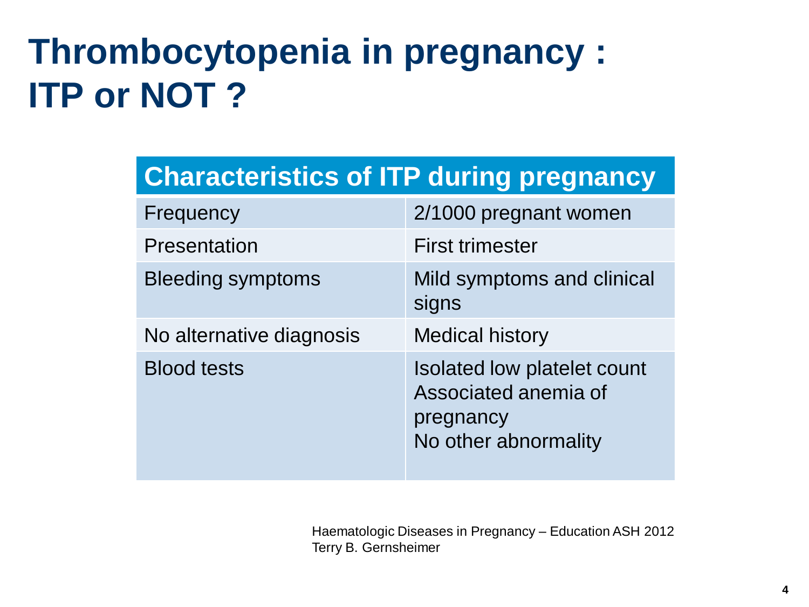## **Thrombocytopenia in pregnancy : ITP or NOT ?**

|  |  | <b>Characteristics of ITP during pregnancy</b> |
|--|--|------------------------------------------------|
|  |  |                                                |

| Frequency                | 2/1000 pregnant women                                                                    |
|--------------------------|------------------------------------------------------------------------------------------|
| <b>Presentation</b>      | <b>First trimester</b>                                                                   |
| <b>Bleeding symptoms</b> | Mild symptoms and clinical<br>signs                                                      |
| No alternative diagnosis | <b>Medical history</b>                                                                   |
| <b>Blood tests</b>       | Isolated low platelet count<br>Associated anemia of<br>pregnancy<br>No other abnormality |

Haematologic Diseases in Pregnancy – Education ASH 2012 Terry B. Gernsheimer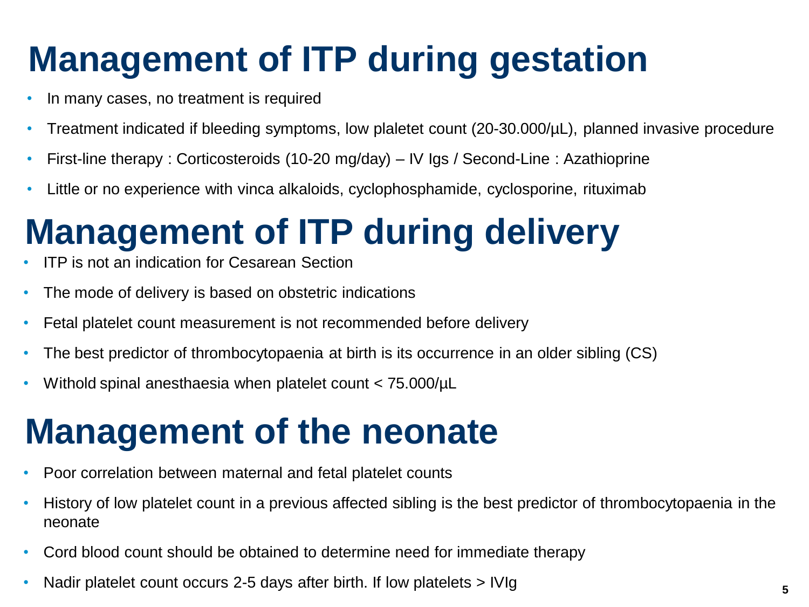## **Management of ITP during gestation**

- In many cases, no treatment is required
- Treatment indicated if bleeding symptoms, low plaletet count (20-30.000/µL), planned invasive procedure
- First-line therapy : Corticosteroids (10-20 mg/day) IV Igs / Second-Line : Azathioprine
- Little or no experience with vinca alkaloids, cyclophosphamide, cyclosporine, rituximab

## **Management of ITP during delivery**

- ITP is not an indication for Cesarean Section
- The mode of delivery is based on obstetric indications
- Fetal platelet count measurement is not recommended before delivery
- The best predictor of thrombocytopaenia at birth is its occurrence in an older sibling (CS)
- Withold spinal anesthaesia when platelet count < 75.000/µL

### **Management of the neonate**

- Poor correlation between maternal and fetal platelet counts
- History of low platelet count in a previous affected sibling is the best predictor of thrombocytopaenia in the neonate
- Cord blood count should be obtained to determine need for immediate therapy
- Nadir platelet count occurs 2-5 days after birth. If low platelets > IVIg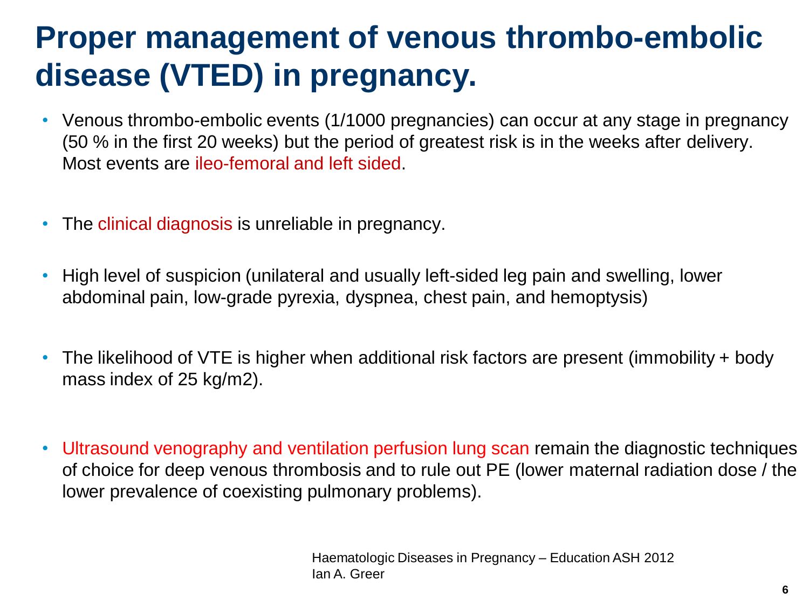### **Proper management of venous thrombo-embolic disease (VTED) in pregnancy.**

- Venous thrombo-embolic events (1/1000 pregnancies) can occur at any stage in pregnancy (50 % in the first 20 weeks) but the period of greatest risk is in the weeks after delivery. Most events are ileo-femoral and left sided.
- The clinical diagnosis is unreliable in pregnancy.
- High level of suspicion (unilateral and usually left-sided leg pain and swelling, lower abdominal pain, low-grade pyrexia, dyspnea, chest pain, and hemoptysis)
- The likelihood of VTE is higher when additional risk factors are present (immobility + body mass index of 25 kg/m2).
- Ultrasound venography and ventilation perfusion lung scan remain the diagnostic techniques of choice for deep venous thrombosis and to rule out PE (lower maternal radiation dose / the lower prevalence of coexisting pulmonary problems).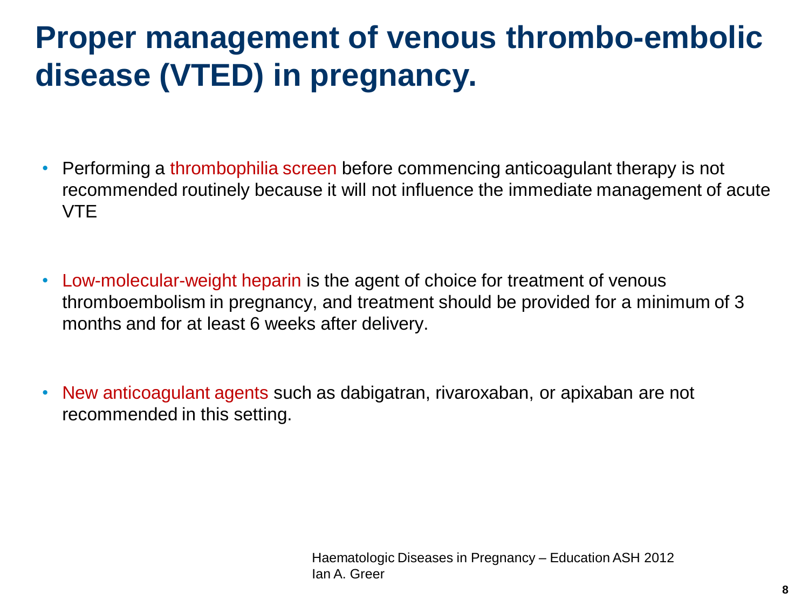### **Proper management of venous thrombo-embolic disease (VTED) in pregnancy.**

- Performing a thrombophilia screen before commencing anticoagulant therapy is not recommended routinely because it will not influence the immediate management of acute VTE
- Low-molecular-weight heparin is the agent of choice for treatment of venous thromboembolism in pregnancy, and treatment should be provided for a minimum of 3 months and for at least 6 weeks after delivery.
- New anticoagulant agents such as dabigatran, rivaroxaban, or apixaban are not recommended in this setting.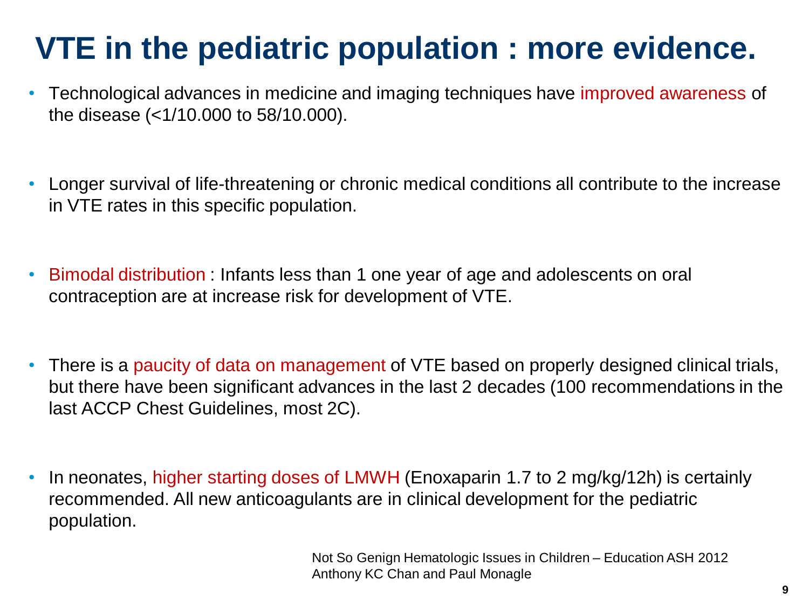### **VTE in the pediatric population : more evidence.**

- Technological advances in medicine and imaging techniques have improved awareness of the disease (<1/10.000 to 58/10.000).
- Longer survival of life-threatening or chronic medical conditions all contribute to the increase in VTE rates in this specific population.
- Bimodal distribution : Infants less than 1 one year of age and adolescents on oral contraception are at increase risk for development of VTE.
- There is a paucity of data on management of VTE based on properly designed clinical trials, but there have been significant advances in the last 2 decades (100 recommendations in the last ACCP Chest Guidelines, most 2C).
- In neonates, higher starting doses of LMWH (Enoxaparin 1.7 to 2 mg/kg/12h) is certainly recommended. All new anticoagulants are in clinical development for the pediatric population.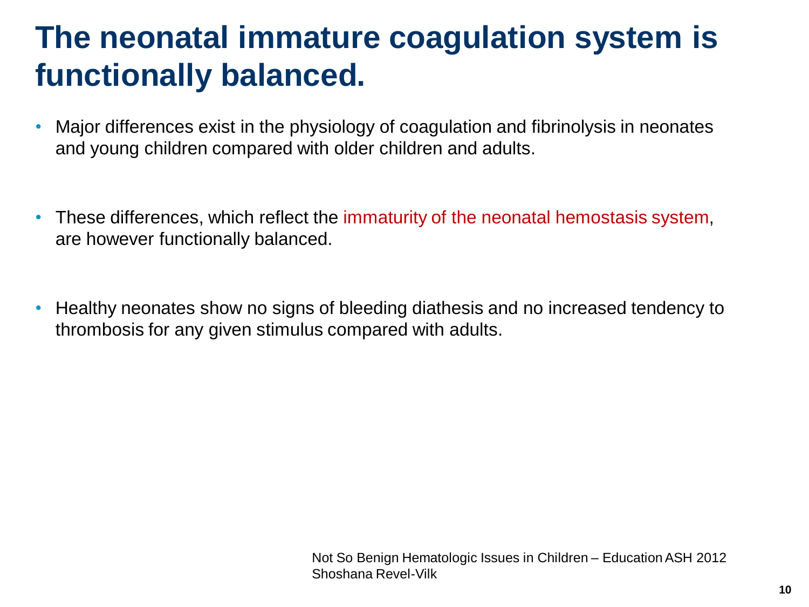#### **The neonatal immature coagulation system is functionally balanced.**

- Major differences exist in the physiology of coagulation and fibrinolysis in neonates and young children compared with older children and adults.
- These differences, which reflect the immaturity of the neonatal hemostasis system, are however functionally balanced.
- Healthy neonates show no signs of bleeding diathesis and no increased tendency to thrombosis for any given stimulus compared with adults.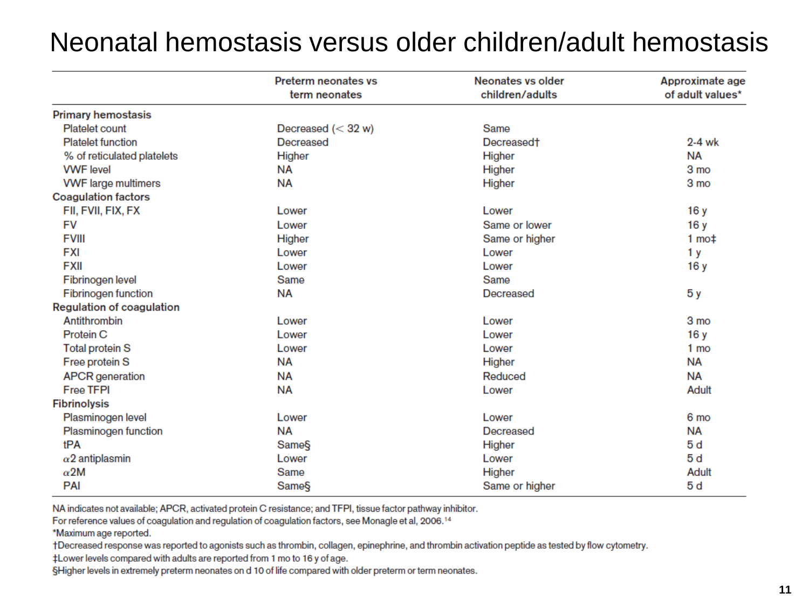#### Neonatal hemostasis versus older children/adult hemostasis

|                                  | <b>Preterm neonates vs</b><br>term neonates | <b>Neonates vs older</b><br>children/adults | Approximate age<br>of adult values* |
|----------------------------------|---------------------------------------------|---------------------------------------------|-------------------------------------|
| <b>Primary hemostasis</b>        |                                             |                                             |                                     |
| Platelet count                   | Decreased $(< 32 w)$                        | Same                                        |                                     |
| <b>Platelet function</b>         | Decreased                                   | Decreased <sup>+</sup>                      | $2-4$ wk                            |
| % of reticulated platelets       | Higher                                      | Higher                                      | <b>NA</b>                           |
| <b>VWF</b> level                 | <b>NA</b>                                   | Higher                                      | 3 mo                                |
| <b>VWF</b> large multimers       | <b>NA</b>                                   | Higher                                      | 3 mo                                |
| <b>Coagulation factors</b>       |                                             |                                             |                                     |
| FII, FVII, FIX, FX               | Lower                                       | Lower                                       | 16y                                 |
| <b>FV</b>                        | Lower                                       | Same or lower                               | 16 y                                |
| <b>FVIII</b>                     | Higher                                      | Same or higher                              | $1 \text{ mod}$                     |
| <b>FXI</b>                       | Lower                                       | Lower                                       | 1 <sub>y</sub>                      |
| <b>FXII</b>                      | Lower                                       | Lower                                       | 16 y                                |
| Fibrinogen level                 | Same                                        | Same                                        |                                     |
| Fibrinogen function              | <b>NA</b>                                   | Decreased                                   | 5 y                                 |
| <b>Regulation of coagulation</b> |                                             |                                             |                                     |
| Antithrombin                     | Lower                                       | Lower                                       | 3 mo                                |
| Protein C                        | Lower                                       | Lower                                       | 16y                                 |
| <b>Total protein S</b>           | Lower                                       | Lower                                       | 1 mo                                |
| Free protein S                   | NA                                          | Higher                                      | <b>NA</b>                           |
| <b>APCR</b> generation           | <b>NA</b>                                   | Reduced                                     | <b>NA</b>                           |
| <b>Free TFPI</b>                 | <b>NA</b>                                   | Lower                                       | Adult                               |
| <b>Fibrinolysis</b>              |                                             |                                             |                                     |
| Plasminogen level                | Lower                                       | Lower                                       | 6 mo                                |
| Plasminogen function             | <b>NA</b>                                   | Decreased                                   | <b>NA</b>                           |
| tPA                              | Same§                                       | Higher                                      | 5d                                  |
| $\alpha$ 2 antiplasmin           | Lower                                       | Lower                                       | 5d                                  |
| $\alpha$ 2M                      | Same                                        | Higher                                      | Adult                               |
| PAI                              | Same§                                       | Same or higher                              | 5d                                  |

NA indicates not available; APCR, activated protein C resistance; and TFPI, tissue factor pathway inhibitor.

For reference values of coagulation and regulation of coagulation factors, see Monagle et al, 2006.<sup>14</sup>

\*Maximum age reported.

†Decreased response was reported to agonists such as thrombin, collagen, epinephrine, and thrombin activation peptide as tested by flow cytometry.

‡Lower levels compared with adults are reported from 1 mo to 16 y of age.

§Higher levels in extremely preterm neonates on d 10 of life compared with older preterm or term neonates.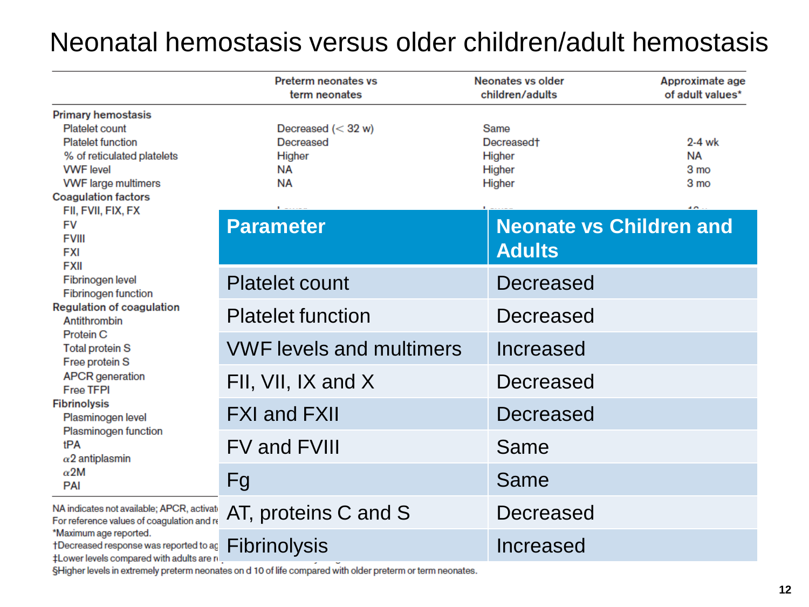#### Neonatal hemostasis versus older children/adult hemostasis

|                                                                                                                                                                                       | <b>Preterm neonates vs</b><br>term neonates                           | Neonates vs older<br>children/adults                         | Approximate age<br>of adult values*            |  |  |
|---------------------------------------------------------------------------------------------------------------------------------------------------------------------------------------|-----------------------------------------------------------------------|--------------------------------------------------------------|------------------------------------------------|--|--|
| <b>Primary hemostasis</b><br>Platelet count<br><b>Platelet function</b><br>% of reticulated platelets<br><b>VWF</b> level<br><b>VWF</b> large multimers<br><b>Coagulation factors</b> | Decreased $(< 32 w)$<br>Decreased<br>Higher<br><b>NA</b><br><b>NA</b> | Same<br>Decreased <sup>+</sup><br>Higher<br>Higher<br>Higher | 2-4 wk<br><b>NA</b><br>3 <sub>mo</sub><br>3 mo |  |  |
| FII, FVII, FIX, FX<br><b>FV</b><br><b>FVIII</b><br><b>FXI</b><br><b>FXII</b>                                                                                                          | <b>Parameter</b>                                                      | <b>Neonate vs Children and</b><br><b>Adults</b>              |                                                |  |  |
| Fibrinogen level<br><b>Fibrinogen function</b>                                                                                                                                        | <b>Platelet count</b>                                                 | Decreased                                                    |                                                |  |  |
| <b>Regulation of coagulation</b><br>Antithrombin                                                                                                                                      | <b>Platelet function</b>                                              | Decreased                                                    |                                                |  |  |
| <b>Protein C</b><br><b>Total protein S</b><br>Free protein S                                                                                                                          | <b>VWF levels and multimers</b>                                       | Increased                                                    |                                                |  |  |
| <b>APCR</b> generation<br><b>Free TFPI</b>                                                                                                                                            | FII, VII, IX and X                                                    | Decreased                                                    |                                                |  |  |
| <b>Fibrinolysis</b><br>Plasminogen level                                                                                                                                              | <b>FXI and FXII</b>                                                   | Decreased                                                    |                                                |  |  |
| Plasminogen function<br>tPA<br>$\alpha$ 2 antiplasmin                                                                                                                                 | <b>FV and FVIII</b>                                                   | Same                                                         |                                                |  |  |
| $\alpha$ 2M<br>PAI                                                                                                                                                                    | Fg                                                                    | Same                                                         |                                                |  |  |
| NA indicates not available; APCR, activate<br>For reference values of coagulation and re                                                                                              | AT, proteins C and S                                                  | Decreased                                                    |                                                |  |  |
| *Maximum age reported.<br>†Decreased response was reported to ag<br><b>tLower levels compared with adults are n</b>                                                                   | <b>Fibrinolysis</b>                                                   | Increased                                                    |                                                |  |  |

§Higher levels in extremely preterm neonates on d 10 of life compared with older preterm or term neonates.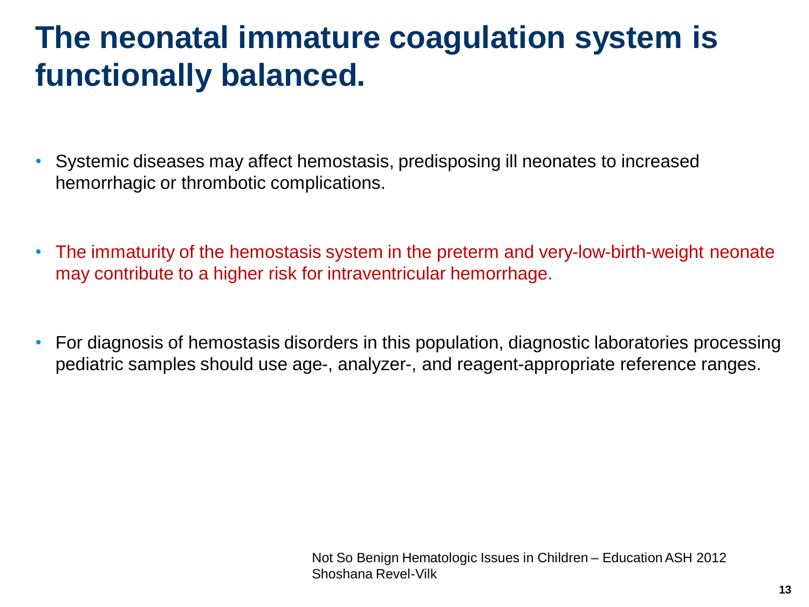#### **The neonatal immature coagulation system is functionally balanced.**

- Systemic diseases may affect hemostasis, predisposing ill neonates to increased hemorrhagic or thrombotic complications.
- The immaturity of the hemostasis system in the preterm and very-low-birth-weight neonate may contribute to a higher risk for intraventricular hemorrhage.
- For diagnosis of hemostasis disorders in this population, diagnostic laboratories processing pediatric samples should use age-, analyzer-, and reagent-appropriate reference ranges.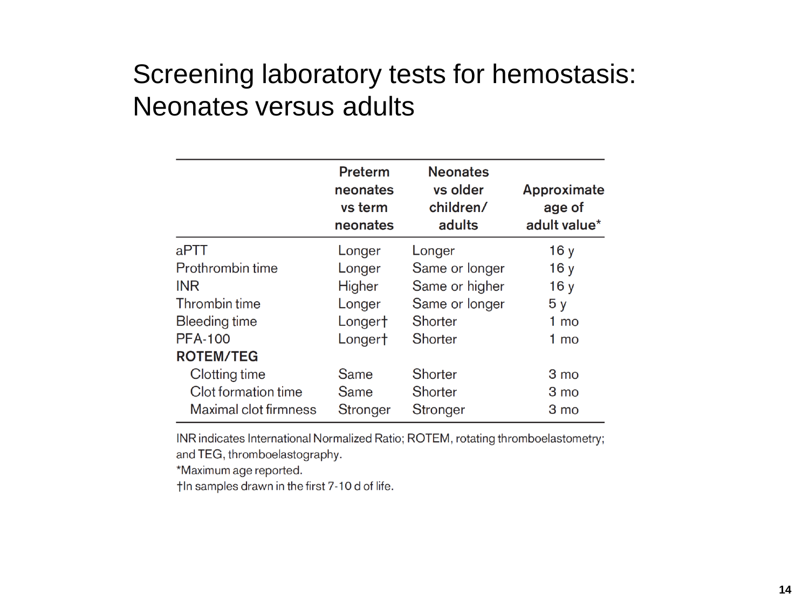#### Screening laboratory tests for hemostasis: Neonates versus adults

|                       | Preterm<br>neonates<br>vs term<br>neonates | <b>Neonates</b><br>vs older<br>children/<br>adults | Approximate<br>age of<br>adult value* |
|-----------------------|--------------------------------------------|----------------------------------------------------|---------------------------------------|
| aPTT                  | Longer                                     | Longer                                             | 16y                                   |
| Prothrombin time      | Longer                                     | Same or longer                                     | 16y                                   |
| <b>INR</b>            | Higher                                     | Same or higher                                     | 16y                                   |
| Thrombin time         | Longer                                     | Same or longer                                     | 5y                                    |
| Bleeding time         | Longer†                                    | Shorter                                            | $1 \text{ mo}$                        |
| <b>PFA-100</b>        | Longert                                    | Shorter                                            | 1 mo                                  |
| <b>ROTEM/TEG</b>      |                                            |                                                    |                                       |
| Clotting time         | Same                                       | Shorter                                            | 3 mo                                  |
| Clot formation time   | Same                                       | Shorter                                            | 3 mo                                  |
| Maximal clot firmness | Stronger                                   | Stronger                                           | 3 mo                                  |

INR indicates International Normalized Ratio; ROTEM, rotating thromboelastometry; and TEG, thromboelastography.

\*Maximum age reported.

th samples drawn in the first 7-10 d of life.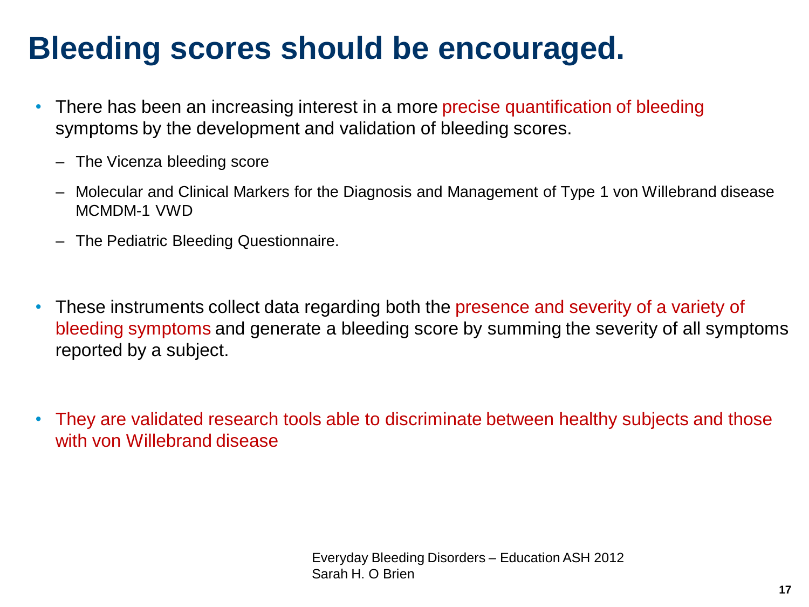### **Bleeding scores should be encouraged.**

- There has been an increasing interest in a more precise quantification of bleeding symptoms by the development and validation of bleeding scores.
	- The Vicenza bleeding score
	- Molecular and Clinical Markers for the Diagnosis and Management of Type 1 von Willebrand disease MCMDM-1 VWD
	- The Pediatric Bleeding Questionnaire.
- These instruments collect data regarding both the presence and severity of a variety of bleeding symptoms and generate a bleeding score by summing the severity of all symptoms reported by a subject.
- They are validated research tools able to discriminate between healthy subjects and those with von Willebrand disease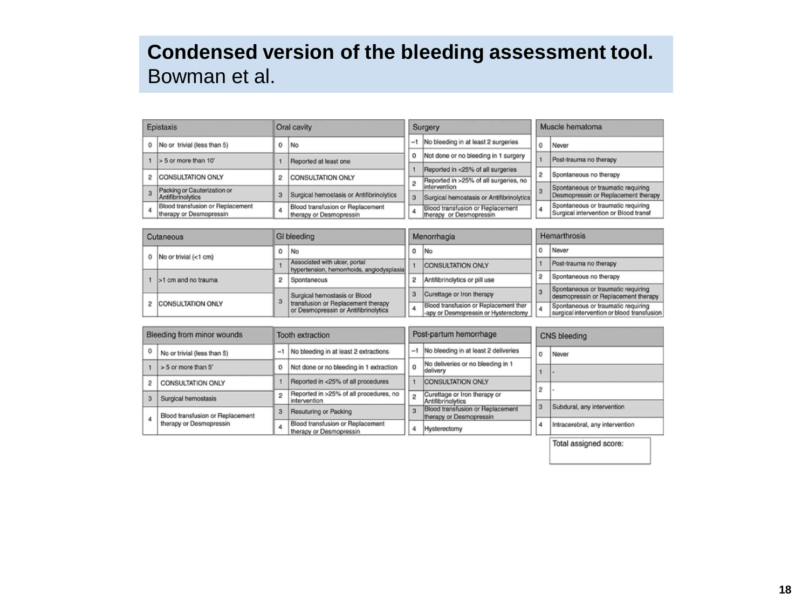#### **Condensed version of the bleeding assessment tool.**  Bowman et al.

| Epistaxis                                                   |   | Oral cavity                                                 |      | Surgery                                                                    |   | Muscle hematoma                                                             |
|-------------------------------------------------------------|---|-------------------------------------------------------------|------|----------------------------------------------------------------------------|---|-----------------------------------------------------------------------------|
| 0 No or trivial (less than 5)                               | 0 | No.                                                         | $-1$ | No bleeding in at least 2 surgeries                                        |   | Never                                                                       |
| $> 5$ or more than 10'                                      |   | Reported at least one                                       |      | Not done or no bleeding in 1 surgery                                       |   | Post-trauma no therapy                                                      |
| 2 CONSULTATION ONLY                                         |   | <b>CONSULTATION ONLY</b>                                    |      | Reported in <25% of all surgeries<br>Reported in >25% of all surgeries, no | 2 | Spontaneous no therapy                                                      |
| Packing or Cauterization or<br>Antifibrinolytics            | 3 | Surgical hemostasis or Antifibrinolytics                    | 3    | lintervention<br>Surgical hemostasis or Antifibrinolytics                  |   | Spontaneous or traumatic requiring<br>Desmopressin or Replacement therapy   |
| Blood transfusion or Replacement<br>therapy or Desmopressin |   | Blood transfusion or Replacement<br>therapy or Desmopressin |      | Blood transfusion or Replacement<br>therapy or Desmopressin                | 4 | Spontaneous or traumatic requiring<br>Surgical intervention or Blood transf |

| Cutaneous                  | GI bleeding                                                                | Menorrhagia |                                                                               | Hemarthrosis |                                                                                  |
|----------------------------|----------------------------------------------------------------------------|-------------|-------------------------------------------------------------------------------|--------------|----------------------------------------------------------------------------------|
| 0   No or trivial $(1 cm)$ | No                                                                         |             | <b>No</b>                                                                     |              | Never                                                                            |
|                            | Associated with ulcer, portal<br>hypertension, hemorrhoids, angiodysplasia |             | <b>CONSULTATION ONLY</b>                                                      |              | Post-trauma no therapy                                                           |
| >1 cm and no trauma        | Spontaneous                                                                |             | Antifibrinolytics or pill use                                                 |              | Spontaneous no therapy                                                           |
|                            | Surgical hemostasis or Blood                                               |             | Curettage or Iron therapy                                                     |              | Spontaneous or traumatic requiring<br>desmopressin or Replacement therapy        |
| з<br>2 CONSULTATION ONLY   | transfusion or Replacement therapy<br>or Desmopressin or Antifibrinolytics | 4           | Blood transfusion or Replacement ther<br>-apy or Desmopressin or Hysterectomy |              | Spontaneous or traumatic requiring<br>surgical intervention or blood transfusion |

|                | Bleeding from minor wounds       |         | <b>Tooth extraction</b>                                     | Post-partum hemorrhage |                                                             | <b>CNS</b> bleeding |                                 |
|----------------|----------------------------------|---------|-------------------------------------------------------------|------------------------|-------------------------------------------------------------|---------------------|---------------------------------|
|                | No or trivial (less than 5)      |         | -1 No bleeding in at least 2 extractions                    | $-1$                   | No bleeding in at least 2 deliveries                        | $\Omega$            | Never                           |
|                | > 5 or more than 5'              | $\circ$ | Not done or no bleeding in 1 extraction                     | $\Omega$               | No deliveries or no bleeding in 1<br>delivery               |                     |                                 |
| $\overline{2}$ | <b>CONSULTATION ONLY</b>         |         | Reported in <25% of all procedures                          |                        | <b>CONSULTATION ONLY</b>                                    |                     |                                 |
| $\mathbf{a}$   | Surgical hemostasis              |         | Reported in >25% of all procedures, no<br>intervention      |                        | Curettage or Iron therapy or<br>Antifibrinolytics           | $\tilde{c}$         |                                 |
|                | Blood transfusion or Replacement | 3       | Resuturing or Packing                                       | 3                      | Blood transfusion or Replacement<br>therapy or Desmopressin | 3                   | Subdural, any intervention      |
|                | therapy or Desmopressin          |         | Blood transfusion or Replacement<br>therapy or Desmopressin |                        | Hysterectomy                                                | 4                   | Intracerebral, any intervention |

Total assigned score: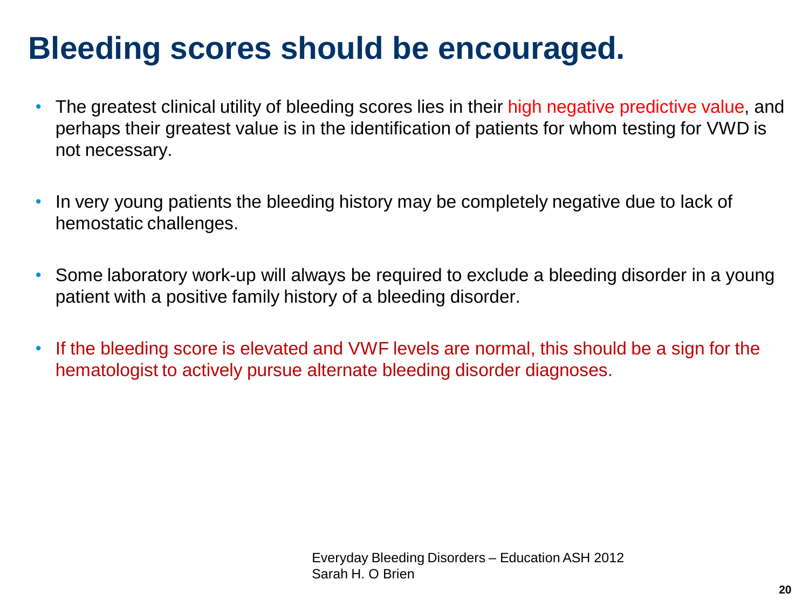### **Bleeding scores should be encouraged.**

- The greatest clinical utility of bleeding scores lies in their high negative predictive value, and perhaps their greatest value is in the identification of patients for whom testing for VWD is not necessary.
- In very young patients the bleeding history may be completely negative due to lack of hemostatic challenges.
- Some laboratory work-up will always be required to exclude a bleeding disorder in a young patient with a positive family history of a bleeding disorder.
- If the bleeding score is elevated and VWF levels are normal, this should be a sign for the hematologist to actively pursue alternate bleeding disorder diagnoses.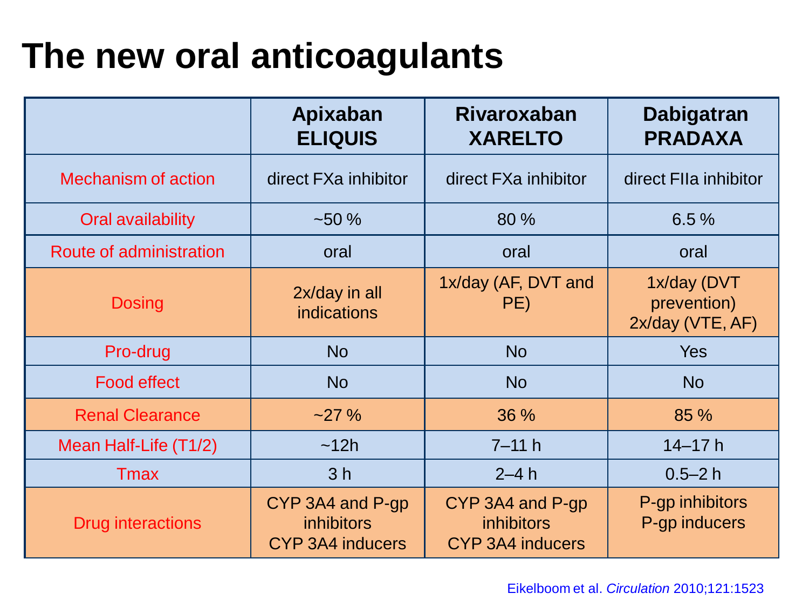## **The new oral anticoagulants**

|                            | Apixaban<br><b>ELIQUIS</b>                                       | <b>Rivaroxaban</b><br><b>XARELTO</b>                             | <b>Dabigatran</b><br><b>PRADAXA</b>            |
|----------------------------|------------------------------------------------------------------|------------------------------------------------------------------|------------------------------------------------|
| <b>Mechanism of action</b> | direct FXa inhibitor                                             | direct FXa inhibitor                                             | direct FIIa inhibitor                          |
| Oral availability          | $-50%$                                                           | 80 %                                                             | 6.5%                                           |
| Route of administration    | oral                                                             | oral                                                             | oral                                           |
| <b>Dosing</b>              | 2x/day in all<br><b>indications</b>                              | 1x/day (AF, DVT and<br>PE)                                       | 1x/day (DVT<br>prevention)<br>2x/day (VTE, AF) |
| Pro-drug                   | <b>No</b>                                                        | <b>No</b>                                                        | <b>Yes</b>                                     |
| <b>Food effect</b>         | <b>No</b>                                                        | <b>No</b>                                                        | <b>No</b>                                      |
| <b>Renal Clearance</b>     | $-27%$                                                           | 36 %                                                             | 85 %                                           |
| Mean Half-Life (T1/2)      | ~12h                                                             | $7 - 11 h$                                                       | $14 - 17h$                                     |
| <b>T</b> max               | 3 <sub>h</sub>                                                   | $2-4h$                                                           | $0.5 - 2h$                                     |
| Drug interactions          | CYP 3A4 and P-gp<br><i>inhibitors</i><br><b>CYP 3A4 inducers</b> | CYP 3A4 and P-gp<br><i>inhibitors</i><br><b>CYP 3A4 inducers</b> | P-gp inhibitors<br>P-gp inducers               |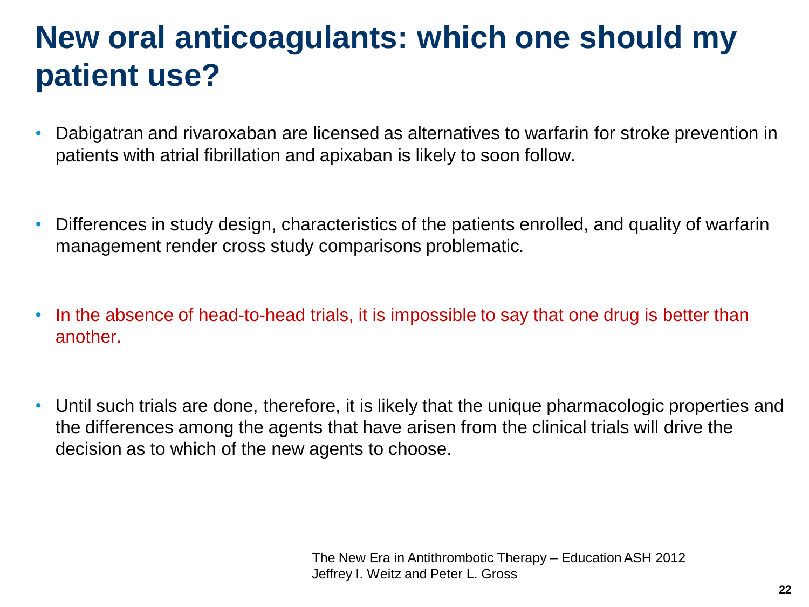#### **New oral anticoagulants: which one should my patient use?**

- Dabigatran and rivaroxaban are licensed as alternatives to warfarin for stroke prevention in patients with atrial fibrillation and apixaban is likely to soon follow.
- Differences in study design, characteristics of the patients enrolled, and quality of warfarin management render cross study comparisons problematic.
- In the absence of head-to-head trials, it is impossible to say that one drug is better than another.
- Until such trials are done, therefore, it is likely that the unique pharmacologic properties and the differences among the agents that have arisen from the clinical trials will drive the decision as to which of the new agents to choose.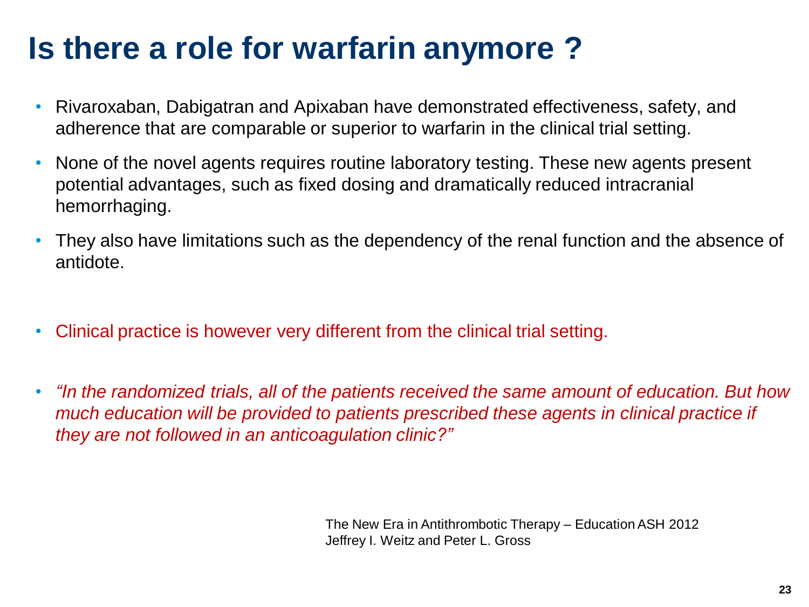### **Is there a role for warfarin anymore ?**

- Rivaroxaban, Dabigatran and Apixaban have demonstrated effectiveness, safety, and adherence that are comparable or superior to warfarin in the clinical trial setting.
- None of the novel agents requires routine laboratory testing. These new agents present potential advantages, such as fixed dosing and dramatically reduced intracranial hemorrhaging.
- They also have limitations such as the dependency of the renal function and the absence of antidote.
- Clinical practice is however very different from the clinical trial setting.
- *"In the randomized trials, all of the patients received the same amount of education. But how much education will be provided to patients prescribed these agents in clinical practice if they are not followed in an anticoagulation clinic?"*

The New Era in Antithrombotic Therapy – Education ASH 2012 Jeffrey I. Weitz and Peter L. Gross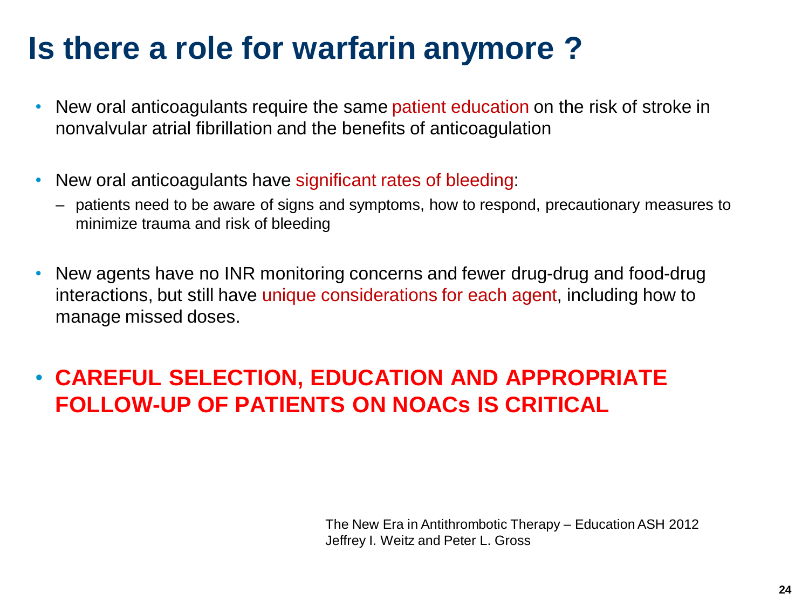#### **Is there a role for warfarin anymore ?**

- New oral anticoagulants require the same patient education on the risk of stroke in nonvalvular atrial fibrillation and the benefits of anticoagulation
- New oral anticoagulants have significant rates of bleeding:
	- patients need to be aware of signs and symptoms, how to respond, precautionary measures to minimize trauma and risk of bleeding
- New agents have no INR monitoring concerns and fewer drug-drug and food-drug interactions, but still have unique considerations for each agent, including how to manage missed doses.

#### • **CAREFUL SELECTION, EDUCATION AND APPROPRIATE FOLLOW-UP OF PATIENTS ON NOACs IS CRITICAL**

The New Era in Antithrombotic Therapy – Education ASH 2012 Jeffrey I. Weitz and Peter L. Gross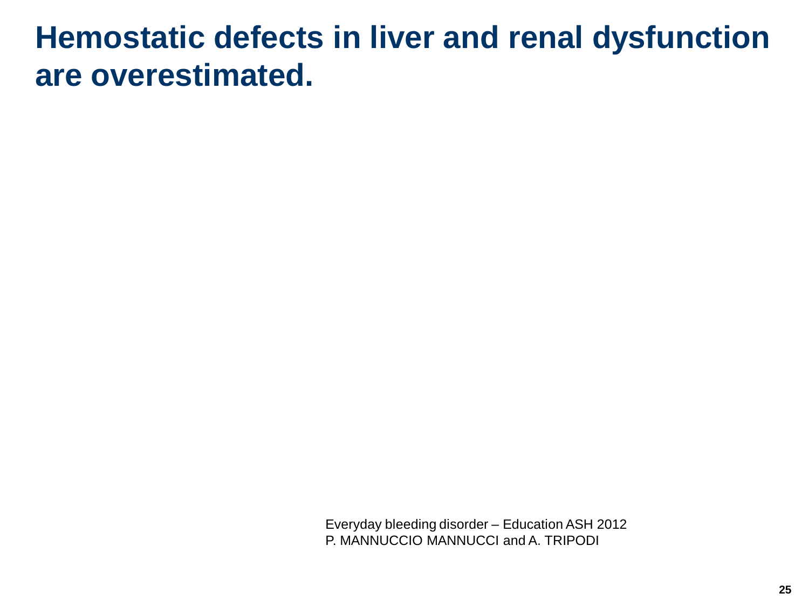#### **Hemostatic defects in liver and renal dysfunction are overestimated.**

Everyday bleeding disorder – Education ASH 2012 P. MANNUCCIO MANNUCCI and A. TRIPODI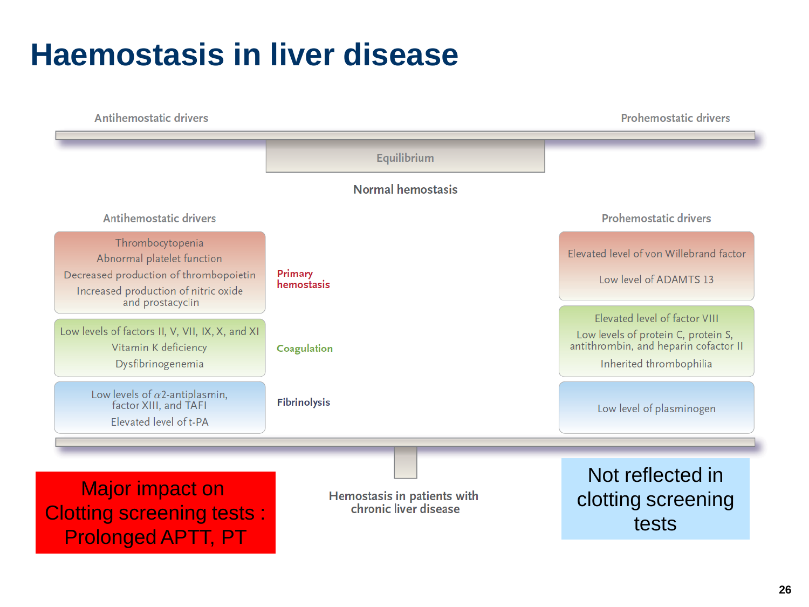#### **Haemostasis in liver disease**

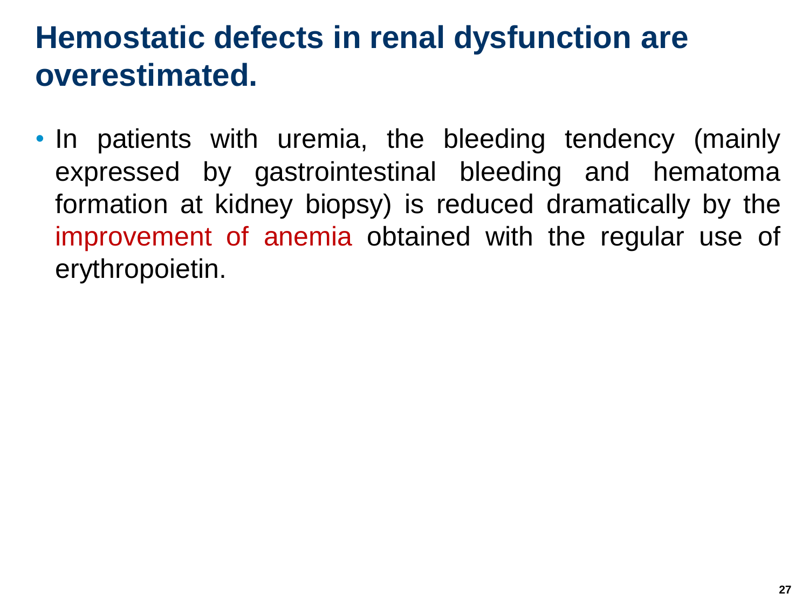#### **Hemostatic defects in renal dysfunction are overestimated.**

• In patients with uremia, the bleeding tendency (mainly expressed by gastrointestinal bleeding and hematoma formation at kidney biopsy) is reduced dramatically by the improvement of anemia obtained with the regular use of erythropoietin.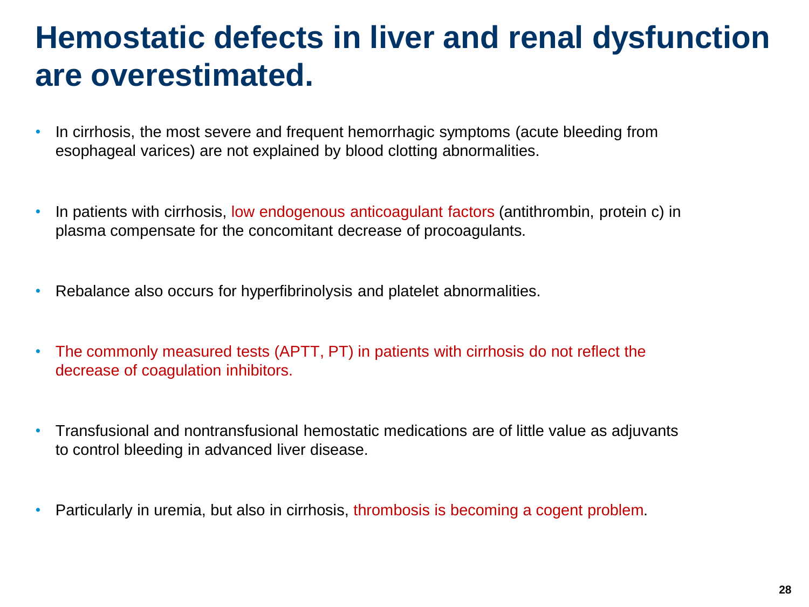#### **Hemostatic defects in liver and renal dysfunction are overestimated.**

- In cirrhosis, the most severe and frequent hemorrhagic symptoms (acute bleeding from esophageal varices) are not explained by blood clotting abnormalities.
- In patients with cirrhosis, low endogenous anticoagulant factors (antithrombin, protein c) in plasma compensate for the concomitant decrease of procoagulants.
- Rebalance also occurs for hyperfibrinolysis and platelet abnormalities.
- The commonly measured tests (APTT, PT) in patients with cirrhosis do not reflect the decrease of coagulation inhibitors.
- Transfusional and nontransfusional hemostatic medications are of little value as adjuvants to control bleeding in advanced liver disease.
- Particularly in uremia, but also in cirrhosis, thrombosis is becoming a cogent problem.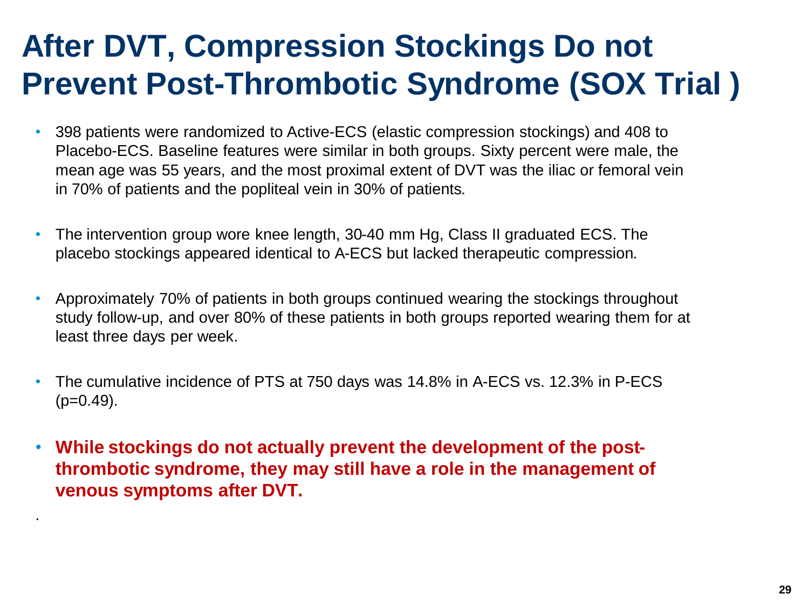### **After DVT, Compression Stockings Do not Prevent Post-Thrombotic Syndrome (SOX Trial )**

- 398 patients were randomized to Active-ECS (elastic compression stockings) and 408 to Placebo-ECS. Baseline features were similar in both groups. Sixty percent were male, the mean age was 55 years, and the most proximal extent of DVT was the iliac or femoral vein in 70% of patients and the popliteal vein in 30% of patients.
- The intervention group wore knee length, 30-40 mm Hg, Class II graduated ECS. The placebo stockings appeared identical to A-ECS but lacked therapeutic compression.
- Approximately 70% of patients in both groups continued wearing the stockings throughout study follow-up, and over 80% of these patients in both groups reported wearing them for at least three days per week.
- The cumulative incidence of PTS at 750 days was 14.8% in A-ECS vs. 12.3% in P-ECS  $(p=0.49)$ .
- **While stockings do not actually prevent the development of the postthrombotic syndrome, they may still have a role in the management of venous symptoms after DVT.**

.